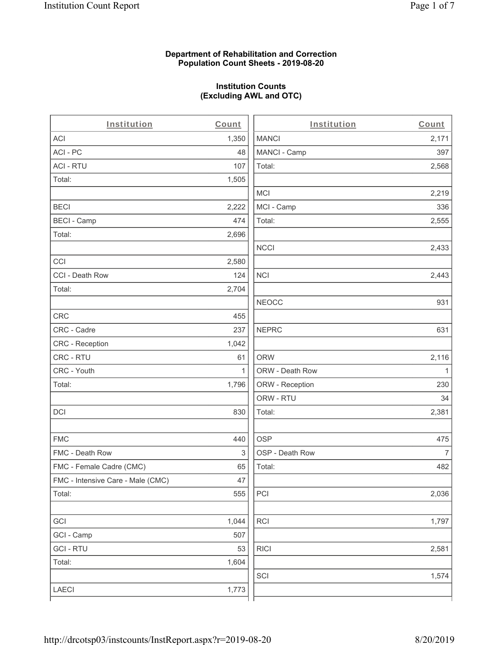#### **Department of Rehabilitation and Correction Population Count Sheets - 2019-08-20**

# **Institution Counts (Excluding AWL and OTC)**

 $\overline{a}$ 

| Institution                       | Count | Institution     | Count        |
|-----------------------------------|-------|-----------------|--------------|
| ACI                               | 1,350 | <b>MANCI</b>    | 2,171        |
| ACI-PC                            | 48    | MANCI - Camp    | 397          |
| <b>ACI - RTU</b>                  | 107   | Total:          | 2,568        |
| Total:                            | 1,505 |                 |              |
|                                   |       | MCI             | 2,219        |
| <b>BECI</b>                       | 2,222 | MCI - Camp      | 336          |
| <b>BECI - Camp</b>                | 474   | Total:          | 2,555        |
| Total:                            | 2,696 |                 |              |
|                                   |       | <b>NCCI</b>     | 2,433        |
| CCI                               | 2,580 |                 |              |
| CCI - Death Row                   | 124   | <b>NCI</b>      | 2,443        |
| Total:                            | 2,704 |                 |              |
|                                   |       | <b>NEOCC</b>    | 931          |
| <b>CRC</b>                        | 455   |                 |              |
| CRC - Cadre                       | 237   | <b>NEPRC</b>    | 631          |
| <b>CRC</b> - Reception            | 1,042 |                 |              |
| CRC - RTU                         | 61    | <b>ORW</b>      | 2,116        |
| CRC - Youth                       | 1     | ORW - Death Row | $\mathbf{1}$ |
| Total:                            | 1,796 | ORW - Reception | 230          |
|                                   |       | ORW - RTU       | 34           |
| DCI                               | 830   | Total:          | 2,381        |
| <b>FMC</b>                        | 440   | <b>OSP</b>      | 475          |
| FMC - Death Row                   | 3     | OSP - Death Row | 7            |
| FMC - Female Cadre (CMC)          | 65    | Total:          | 482          |
| FMC - Intensive Care - Male (CMC) | 47    |                 |              |
| Total:                            | 555   | PCI             | 2,036        |
| GCI                               | 1,044 | RCI             | 1,797        |
| GCI - Camp                        | 507   |                 |              |
| <b>GCI-RTU</b>                    | 53    | <b>RICI</b>     | 2,581        |
| Total:                            | 1,604 |                 |              |
|                                   |       | SCI             | 1,574        |
| LAECI                             | 1,773 |                 |              |
|                                   |       |                 |              |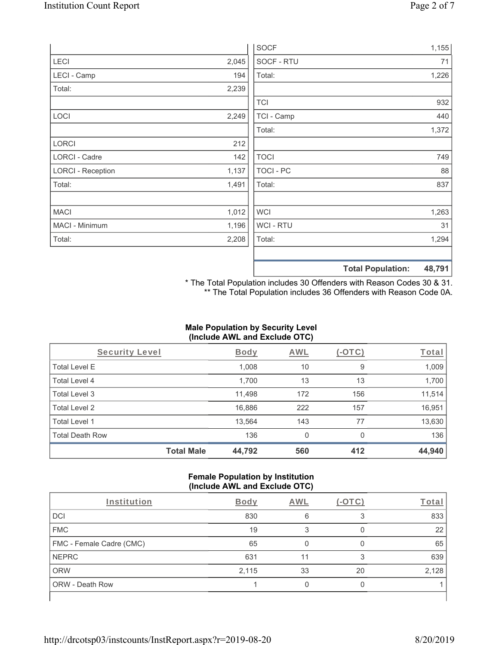|                          |       | <b>SOCF</b>    | 1,155                              |
|--------------------------|-------|----------------|------------------------------------|
| LECI                     | 2,045 | SOCF - RTU     | 71                                 |
| LECI - Camp              | 194   | Total:         | 1,226                              |
| Total:                   | 2,239 |                |                                    |
|                          |       | <b>TCI</b>     | 932                                |
| LOCI                     | 2,249 | TCI - Camp     | 440                                |
|                          |       | Total:         | 1,372                              |
| LORCI                    | 212   |                |                                    |
| LORCI - Cadre            | 142   | <b>TOCI</b>    | 749                                |
| <b>LORCI - Reception</b> | 1,137 | TOCI - PC      | 88                                 |
| Total:                   | 1,491 | Total:         | 837                                |
| <b>MACI</b>              | 1,012 | <b>WCI</b>     | 1,263                              |
| MACI - Minimum           | 1,196 | <b>WCI-RTU</b> | 31                                 |
| Total:                   | 2,208 | Total:         | 1,294                              |
|                          |       |                | <b>Total Population:</b><br>48,791 |

\* The Total Population includes 30 Offenders with Reason Codes 30 & 31. \*\* The Total Population includes 36 Offenders with Reason Code 0A.

# **Male Population by Security Level (Include AWL and Exclude OTC)**

| Security Level         |                   | <b>Body</b> | AWL | (-OTC) | Total  |
|------------------------|-------------------|-------------|-----|--------|--------|
| <b>Total Level E</b>   |                   | 1,008       | 10  | 9      | 1,009  |
| Total Level 4          |                   | 1,700       | 13  | 13     | 1,700  |
| Total Level 3          |                   | 11,498      | 172 | 156    | 11,514 |
| Total Level 2          |                   | 16,886      | 222 | 157    | 16,951 |
| Total Level 1          |                   | 13,564      | 143 | 77     | 13,630 |
| <b>Total Death Row</b> |                   | 136         | 0   | 0      | 136    |
|                        | <b>Total Male</b> | 44,792      | 560 | 412    | 44,940 |

#### **Female Population by Institution (Include AWL and Exclude OTC)**

| Institution              | <b>Body</b> | <b>AWL</b> | $-()$ | Total |
|--------------------------|-------------|------------|-------|-------|
| <b>DCI</b>               | 830         | 6          |       | 833   |
| <b>FMC</b>               | 19          |            |       | 22    |
| FMC - Female Cadre (CMC) | 65          |            |       | 65    |
| <b>NEPRC</b>             | 631         | 11         |       | 639   |
| <b>ORW</b>               | 2,115       | 33         | 20    | 2,128 |
| <b>ORW - Death Row</b>   |             |            |       |       |
|                          |             |            |       |       |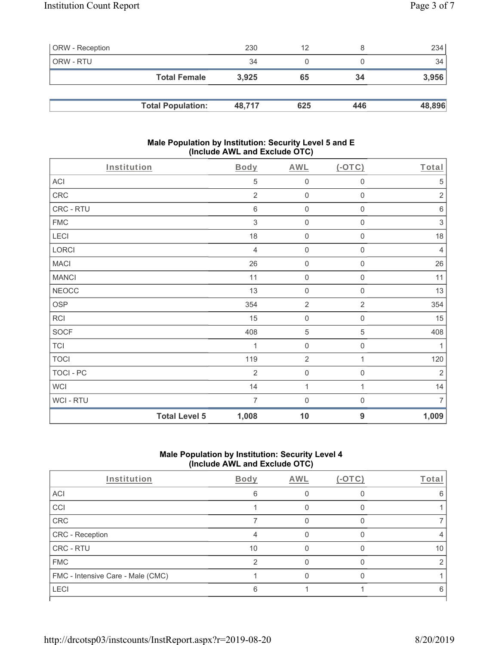| <b>ORW</b> - Reception |                          | 230    | 12  |     | 234    |
|------------------------|--------------------------|--------|-----|-----|--------|
| ORW - RTU              |                          | 34     |     |     | 34     |
|                        | <b>Total Female</b>      | 3.925  | 65  | 34  | 3,956  |
|                        |                          |        |     |     |        |
|                        | <b>Total Population:</b> | 48.717 | 625 | 446 | 48,896 |

#### **Male Population by Institution: Security Level 5 and E (Include AWL and Exclude OTC)**

| Institution  |                      | Body           | <b>AWL</b>          | $($ -OTC $)$        | Total          |
|--------------|----------------------|----------------|---------------------|---------------------|----------------|
| ACI          |                      | 5              | $\mathsf{O}\xspace$ | 0                   | 5              |
| ${\sf CRC}$  |                      | $\overline{2}$ | $\mathbf 0$         | $\mathsf{O}\xspace$ | $\sqrt{2}$     |
| CRC - RTU    |                      | $\,6\,$        | $\mathbf 0$         | $\mathsf{O}\xspace$ | $\,6\,$        |
| ${\sf FMC}$  |                      | $\mathfrak{Z}$ | $\mathbf 0$         | $\boldsymbol{0}$    | $\sqrt{3}$     |
| LECI         |                      | 18             | $\mathbf 0$         | 0                   | 18             |
| LORCI        |                      | $\overline{4}$ | $\mathsf{O}\xspace$ | $\mathsf 0$         | $\overline{4}$ |
| <b>MACI</b>  |                      | 26             | $\mathsf{O}\xspace$ | $\mathsf{O}\xspace$ | 26             |
| <b>MANCI</b> |                      | 11             | $\mathsf{O}\xspace$ | $\mathsf 0$         | 11             |
| <b>NEOCC</b> |                      | 13             | $\mathsf{O}\xspace$ | $\mathsf{O}\xspace$ | 13             |
| <b>OSP</b>   |                      | 354            | $\sqrt{2}$          | $\overline{2}$      | 354            |
| <b>RCI</b>   |                      | 15             | $\mathbf 0$         | $\mathsf 0$         | 15             |
| SOCF         |                      | 408            | $\,$ 5 $\,$         | $\mathbf 5$         | 408            |
| <b>TCI</b>   |                      | 1              | $\mathsf{O}\xspace$ | $\mathsf{O}\xspace$ | 1              |
| <b>TOCI</b>  |                      | 119            | $\overline{2}$      | 1                   | 120            |
| TOCI - PC    |                      | $\overline{2}$ | $\mathsf{O}\xspace$ | $\mathsf{O}\xspace$ | $\sqrt{2}$     |
| <b>WCI</b>   |                      | 14             | $\mathbf{1}$        | 1                   | 14             |
| WCI - RTU    |                      | $\overline{7}$ | $\boldsymbol{0}$    | $\boldsymbol{0}$    | $\overline{7}$ |
|              | <b>Total Level 5</b> | 1,008          | 10                  | 9                   | 1,009          |

# **Male Population by Institution: Security Level 4 (Include AWL and Exclude OTC)**

| Institution                       | Body | AWL | $-1$ | Total |
|-----------------------------------|------|-----|------|-------|
| ACI                               | 6    |     |      | 6     |
| CCI                               |      |     |      |       |
| CRC                               |      |     |      |       |
| CRC - Reception                   |      |     |      |       |
| CRC - RTU                         | 10   |     |      | 10    |
| <b>FMC</b>                        | ⌒    |     |      |       |
| FMC - Intensive Care - Male (CMC) |      |     |      |       |
| <b>LECI</b>                       | 6    |     |      | h     |
|                                   |      |     |      |       |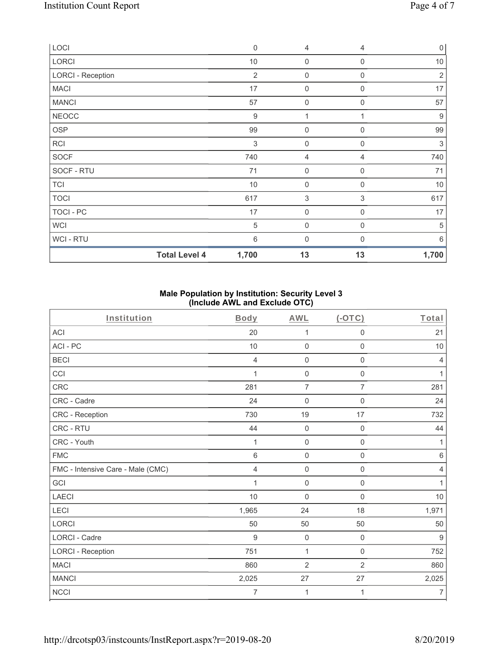| LOCI                     | $\mathbf 0$    | 4                   | $\overline{4}$ | $\mathsf{O}\xspace$ |
|--------------------------|----------------|---------------------|----------------|---------------------|
| LORCI                    | $10$           | $\boldsymbol{0}$    | $\mathbf 0$    | $10$                |
| <b>LORCI - Reception</b> | $\overline{2}$ | $\boldsymbol{0}$    | 0              | $\sqrt{2}$          |
| <b>MACI</b>              | 17             | 0                   | $\mathbf 0$    | 17                  |
| <b>MANCI</b>             | 57             | $\boldsymbol{0}$    | $\mathbf 0$    | 57                  |
| <b>NEOCC</b>             | 9              | 1                   |                | $\boldsymbol{9}$    |
| OSP                      | 99             | $\boldsymbol{0}$    | $\mathbf 0$    | 99                  |
| <b>RCI</b>               | 3              | $\mathsf{O}\xspace$ | $\mathbf 0$    | $\sqrt{3}$          |
| <b>SOCF</b>              | 740            | 4                   | 4              | 740                 |
| SOCF - RTU               | 71             | $\mathsf{O}\xspace$ | $\mathbf 0$    | 71                  |
| <b>TCI</b>               | 10             | $\mathsf{O}\xspace$ | $\overline{0}$ | 10                  |
| <b>TOCI</b>              | 617            | 3                   | 3              | 617                 |
| TOCI - PC                | 17             | $\mathsf{O}\xspace$ | $\mathbf 0$    | 17                  |
| <b>WCI</b>               | 5              | $\mathsf{O}\xspace$ | $\overline{0}$ | 5                   |
| WCI - RTU                | 6              | 0                   | $\Omega$       | 6                   |
| <b>Total Level 4</b>     | 1,700          | 13                  | 13             | 1,700               |

## **Male Population by Institution: Security Level 3 (Include AWL and Exclude OTC)**

| Institution                       | <b>Body</b> | <b>AWL</b>          | $(-OTC)$            | Total          |
|-----------------------------------|-------------|---------------------|---------------------|----------------|
| <b>ACI</b>                        | 20          | 1                   | $\mathsf{O}\xspace$ | 21             |
| ACI-PC                            | 10          | $\mathbf 0$         | $\mathsf 0$         | 10             |
| <b>BECI</b>                       | 4           | $\boldsymbol{0}$    | $\mathsf{O}\xspace$ | 4              |
| CCI                               | 1           | $\mathbf 0$         | $\mathbf 0$         | 1              |
| <b>CRC</b>                        | 281         | $\overline{7}$      | $\overline{7}$      | 281            |
| CRC - Cadre                       | 24          | $\mathbf 0$         | $\mathsf{O}\xspace$ | 24             |
| CRC - Reception                   | 730         | 19                  | 17                  | 732            |
| CRC - RTU                         | 44          | $\mathbf 0$         | $\mathbf 0$         | 44             |
| CRC - Youth                       | 1           | $\mathbf 0$         | $\mathbf 0$         | 1              |
| <b>FMC</b>                        | 6           | $\mathbf 0$         | $\mathsf{O}\xspace$ | $\,6\,$        |
| FMC - Intensive Care - Male (CMC) | 4           | $\mathsf{O}\xspace$ | $\mathsf{O}\xspace$ | $\overline{4}$ |
| GCI                               | 1           | $\mathbf 0$         | $\mathbf 0$         | 1              |
| <b>LAECI</b>                      | 10          | $\mathbf 0$         | $\mathbf 0$         | 10             |
| LECI                              | 1,965       | 24                  | 18                  | 1,971          |
| LORCI                             | 50          | 50                  | 50                  | 50             |
| LORCI - Cadre                     | 9           | $\mathbf 0$         | $\mathbf 0$         | $9\,$          |
| <b>LORCI - Reception</b>          | 751         | 1                   | $\mathbf 0$         | 752            |
| <b>MACI</b>                       | 860         | $\overline{2}$      | $\overline{2}$      | 860            |
| <b>MANCI</b>                      | 2,025       | 27                  | 27                  | 2,025          |
| <b>NCCI</b>                       | 7           | 1                   | 1                   | $\overline{7}$ |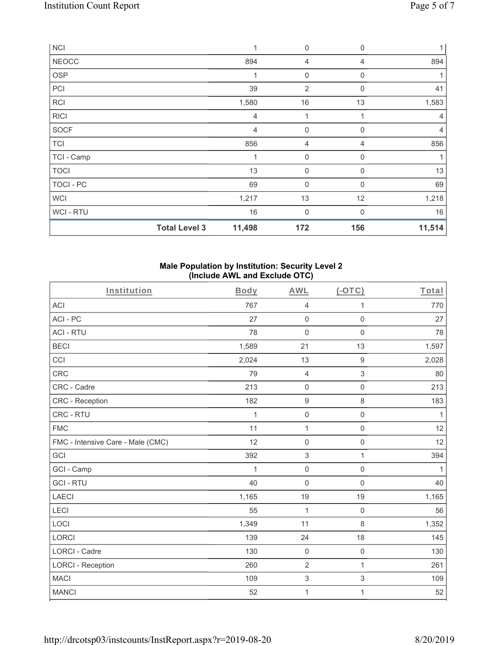| <b>NCI</b>       |                      | 1              | 0                | $\mathbf 0$  | 1 <sup>1</sup> |
|------------------|----------------------|----------------|------------------|--------------|----------------|
| <b>NEOCC</b>     |                      | 894            | 4                | 4            | 894            |
| OSP              |                      | 1              | $\mathbf 0$      | 0            | 1              |
| PCI              |                      | 39             | $\overline{2}$   | 0            | 41             |
| RCI              |                      | 1,580          | 16               | 13           | 1,583          |
| <b>RICI</b>      |                      | $\overline{4}$ | 1                | 1            | $\overline{4}$ |
| <b>SOCF</b>      |                      | $\overline{4}$ | $\mathbf 0$      | 0            | 4              |
| <b>TCI</b>       |                      | 856            | 4                | 4            | 856            |
| TCI - Camp       |                      | 1              | $\boldsymbol{0}$ | 0            | 1              |
| <b>TOCI</b>      |                      | 13             | $\mathbf 0$      | 0            | 13             |
| <b>TOCI - PC</b> |                      | 69             | $\mathbf{0}$     | $\Omega$     | 69             |
| <b>WCI</b>       |                      | 1,217          | 13               | 12           | 1,218          |
| WCI - RTU        |                      | 16             | $\mathbf 0$      | $\mathbf{0}$ | 16             |
|                  | <b>Total Level 3</b> | 11,498         | 172              | 156          | 11,514         |

## **Male Population by Institution: Security Level 2 (Include AWL and Exclude OTC)**

| Institution                       | Body         | <b>AWL</b>                | $(-OTC)$            | Total        |
|-----------------------------------|--------------|---------------------------|---------------------|--------------|
| ACI                               | 767          | $\overline{4}$            | 1                   | 770          |
| ACI-PC                            | 27           | $\mathsf 0$               | $\mathbf 0$         | 27           |
| <b>ACI - RTU</b>                  | 78           | $\mathsf 0$               | $\mathbf 0$         | 78           |
| <b>BECI</b>                       | 1,589        | 21                        | 13                  | 1,597        |
| CCI                               | 2,024        | 13                        | 9                   | 2,028        |
| <b>CRC</b>                        | 79           | $\overline{4}$            | $\mathfrak{S}$      | 80           |
| CRC - Cadre                       | 213          | $\mathsf 0$               | $\mathsf{O}\xspace$ | 213          |
| <b>CRC</b> - Reception            | 182          | $\boldsymbol{9}$          | $\,8\,$             | 183          |
| CRC - RTU                         | 1            | $\mathsf{O}\xspace$       | 0                   | $\mathbf{1}$ |
| <b>FMC</b>                        | 11           | $\mathbf{1}$              | $\mathsf 0$         | 12           |
| FMC - Intensive Care - Male (CMC) | 12           | $\mathsf 0$               | $\mathsf{O}\xspace$ | 12           |
| GCI                               | 392          | $\,$ 3 $\,$               | 1                   | 394          |
| GCI - Camp                        | $\mathbf{1}$ | $\mathsf{O}\xspace$       | $\mathsf{O}\xspace$ | 1            |
| <b>GCI-RTU</b>                    | 40           | $\mathsf{O}\xspace$       | 0                   | 40           |
| <b>LAECI</b>                      | 1,165        | 19                        | 19                  | 1,165        |
| LECI                              | 55           | $\mathbf{1}$              | $\mathsf{O}\xspace$ | 56           |
| LOCI                              | 1,349        | 11                        | 8                   | 1,352        |
| <b>LORCI</b>                      | 139          | 24                        | 18                  | 145          |
| <b>LORCI - Cadre</b>              | 130          | $\mathsf{O}\xspace$       | $\mathbf 0$         | 130          |
| <b>LORCI - Reception</b>          | 260          | $\overline{2}$            | $\mathbf{1}$        | 261          |
| <b>MACI</b>                       | 109          | $\ensuremath{\mathsf{3}}$ | $\mathfrak{S}$      | 109          |
| <b>MANCI</b>                      | 52           | 1                         | 1                   | 52           |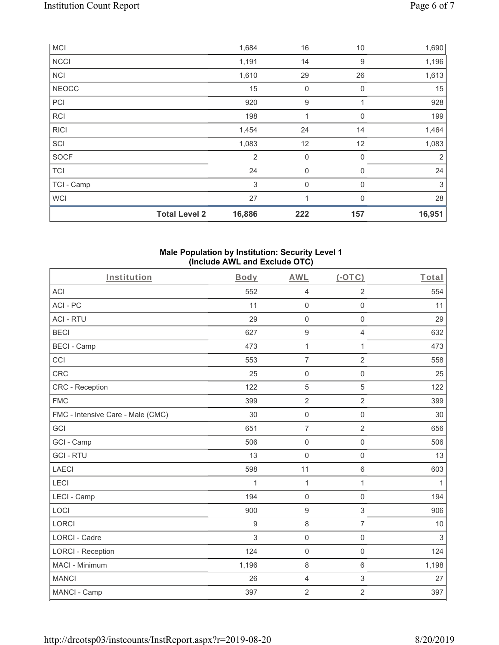|              | <b>Total Level 2</b> | 16,886         | 222         | 157          | 16,951       |
|--------------|----------------------|----------------|-------------|--------------|--------------|
| <b>WCI</b>   |                      | 27             | 1           | $\mathbf{0}$ | 28           |
| TCI - Camp   |                      | 3              | 0           | $\mathbf{0}$ | $\mathbf{3}$ |
| <b>TCI</b>   |                      | 24             | $\mathbf 0$ | $\mathbf 0$  | 24           |
| <b>SOCF</b>  |                      | $\overline{2}$ | 0           | 0            | 2            |
| SCI          |                      | 1,083          | 12          | 12           | 1,083        |
| <b>RICI</b>  |                      | 1,454          | 24          | 14           | 1,464        |
| <b>RCI</b>   |                      | 198            | 1           | 0            | 199          |
| PCI          |                      | 920            | 9           | 1            | 928          |
| <b>NEOCC</b> |                      | 15             | 0           | $\mathbf 0$  | 15           |
| <b>NCI</b>   |                      | 1,610          | 29          | 26           | 1,613        |
| <b>NCCI</b>  |                      | 1,191          | 14          | 9            | 1,196        |
| <b>MCI</b>   |                      | 1,684          | 16          | 10           | 1,690        |

#### **Male Population by Institution: Security Level 1 (Include AWL and Exclude OTC)**

| Institution                       | Body             | <b>AWL</b>          | $(-OTC)$            | Total        |
|-----------------------------------|------------------|---------------------|---------------------|--------------|
| <b>ACI</b>                        | 552              | $\overline{4}$      | $\overline{2}$      | 554          |
| ACI-PC                            | 11               | $\mathsf{O}\xspace$ | $\mathsf{O}\xspace$ | 11           |
| <b>ACI - RTU</b>                  | 29               | $\mathsf{O}\xspace$ | $\mathsf{O}\xspace$ | 29           |
| <b>BECI</b>                       | 627              | $\boldsymbol{9}$    | 4                   | 632          |
| <b>BECI - Camp</b>                | 473              | $\mathbf 1$         | $\mathbf{1}$        | 473          |
| CCI                               | 553              | $\overline{7}$      | $\overline{2}$      | 558          |
| CRC                               | 25               | $\mathsf{O}\xspace$ | $\mathsf{O}\xspace$ | 25           |
| CRC - Reception                   | 122              | 5                   | 5                   | 122          |
| <b>FMC</b>                        | 399              | $\overline{2}$      | $\overline{2}$      | 399          |
| FMC - Intensive Care - Male (CMC) | 30               | $\mathsf{O}\xspace$ | $\mathsf{O}\xspace$ | 30           |
| GCI                               | 651              | $\overline{7}$      | $\overline{2}$      | 656          |
| GCI - Camp                        | 506              | $\mathbf 0$         | $\mathsf{O}\xspace$ | 506          |
| <b>GCI-RTU</b>                    | 13               | $\mathsf{O}\xspace$ | $\mathbf 0$         | 13           |
| <b>LAECI</b>                      | 598              | 11                  | 6                   | 603          |
| LECI                              | 1                | $\mathbf 1$         | 1                   | $\mathbf{1}$ |
| LECI - Camp                       | 194              | $\mathbf 0$         | $\mathsf{O}\xspace$ | 194          |
| LOCI                              | 900              | $\boldsymbol{9}$    | 3                   | 906          |
| <b>LORCI</b>                      | $\boldsymbol{9}$ | $\,8\,$             | $\overline{7}$      | 10           |
| <b>LORCI - Cadre</b>              | 3                | $\mathsf{O}\xspace$ | $\mathsf 0$         | $\sqrt{3}$   |
| <b>LORCI - Reception</b>          | 124              | $\mathbf 0$         | $\mathbf 0$         | 124          |
| MACI - Minimum                    | 1,196            | $\,8\,$             | 6                   | 1,198        |
| <b>MANCI</b>                      | 26               | 4                   | 3                   | 27           |
| MANCI - Camp                      | 397              | $\overline{2}$      | $\overline{2}$      | 397          |